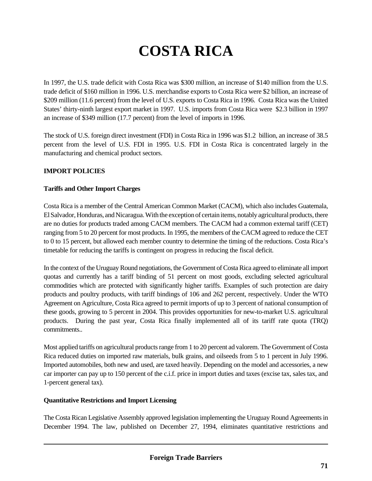# **COSTA RICA**

In 1997, the U.S. trade deficit with Costa Rica was \$300 million, an increase of \$140 million from the U.S. trade deficit of \$160 million in 1996. U.S. merchandise exports to Costa Rica were \$2 billion, an increase of \$209 million (11.6 percent) from the level of U.S. exports to Costa Rica in 1996. Costa Rica was the United States' thirty-ninth largest export market in 1997. U.S. imports from Costa Rica were \$2.3 billion in 1997 an increase of \$349 million (17.7 percent) from the level of imports in 1996.

The stock of U.S. foreign direct investment (FDI) in Costa Rica in 1996 was \$1.2 billion, an increase of 38.5 percent from the level of U.S. FDI in 1995. U.S. FDI in Costa Rica is concentrated largely in the manufacturing and chemical product sectors.

## **IMPORT POLICIES**

#### **Tariffs and Other Import Charges**

Costa Rica is a member of the Central American Common Market (CACM), which also includes Guatemala, El Salvador, Honduras, and Nicaragua. With the exception of certain items, notably agricultural products, there are no duties for products traded among CACM members. The CACM had a common external tariff (CET) ranging from 5 to 20 percent for most products. In 1995, the members of the CACM agreed to reduce the CET to 0 to 15 percent, but allowed each member country to determine the timing of the reductions. Costa Rica's timetable for reducing the tariffs is contingent on progress in reducing the fiscal deficit.

In the context of the Uruguay Round negotiations, the Government of Costa Rica agreed to eliminate all import quotas and currently has a tariff binding of 51 percent on most goods, excluding selected agricultural commodities which are protected with significantly higher tariffs. Examples of such protection are dairy products and poultry products, with tariff bindings of 106 and 262 percent, respectively. Under the WTO Agreement on Agriculture, Costa Rica agreed to permit imports of up to 3 percent of national consumption of these goods, growing to 5 percent in 2004. This provides opportunities for new-to-market U.S. agricultural products. During the past year, Costa Rica finally implemented all of its tariff rate quota (TRQ) commitments..

Most applied tariffs on agricultural products range from 1 to 20 percent ad valorem. The Government of Costa Rica reduced duties on imported raw materials, bulk grains, and oilseeds from 5 to 1 percent in July 1996. Imported automobiles, both new and used, are taxed heavily. Depending on the model and accessories, a new car importer can pay up to 150 percent of the c.i.f. price in import duties and taxes (excise tax, sales tax, and 1-percent general tax).

#### **Quantitative Restrictions and Import Licensing**

The Costa Rican Legislative Assembly approved legislation implementing the Uruguay Round Agreements in December 1994. The law, published on December 27, 1994, eliminates quantitative restrictions and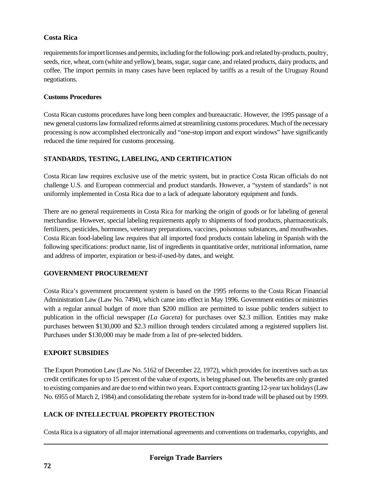# **Costa Rica**

requirements for import licenses and permits, including for the following: pork and related by-products, poultry, seeds, rice, wheat, corn (white and yellow), beans, sugar, sugar cane, and related products, dairy products, and coffee. The import permits in many cases have been replaced by tariffs as a result of the Uruguay Round negotiations.

## **Customs Procedures**

Costa Rican customs procedures have long been complex and bureaucratic. However, the 1995 passage of a new general customs law formalized reforms aimed at streamlining customs procedures. Much of the necessary processing is now accomplished electronically and "one-stop import and export windows" have significantly reduced the time required for customs processing.

# **STANDARDS, TESTING, LABELING, AND CERTIFICATION**

Costa Rican law requires exclusive use of the metric system, but in practice Costa Rican officials do not challenge U.S. and European commercial and product standards. However, a "system of standards" is not uniformly implemented in Costa Rica due to a lack of adequate laboratory equipment and funds.

There are no general requirements in Costa Rica for marking the origin of goods or for labeling of general merchandise. However, special labeling requirements apply to shipments of food products, pharmaceuticals, fertilizers, pesticides, hormones, veterinary preparations, vaccines, poisonous substances, and mouthwashes. Costa Rican food-labeling law requires that all imported food products contain labeling in Spanish with the following specifications: product name, list of ingredients in quantitative order, nutritional information, name and address of importer, expiration or best-if-used-by dates, and weight.

# **GOVERNMENT PROCUREMENT**

Costa Rica's government procurement system is based on the 1995 reforms to the Costa Rican Financial Administration Law (Law No. 7494), which came into effect in May 1996. Government entities or ministries with a regular annual budget of more than \$200 million are permitted to issue public tenders subject to publication in the official newspaper *(La Gaceta*) for purchases over \$2.3 million. Entities may make purchases between \$130,000 and \$2.3 million through tenders circulated among a registered suppliers list. Purchases under \$130,000 may be made from a list of pre-selected bidders.

# **EXPORT SUBSIDIES**

The Export Promotion Law (Law No. 5162 of December 22, 1972), which provides for incentives such as tax credit certificates for up to 15 percent of the value of exports, is being phased out. The benefits are only granted to existing companies and are due to end within two years. Export contracts granting 12-year tax holidays (Law No. 6955 of March 2, 1984) and consolidating the rebate system for in-bond trade will be phased out by 1999.

# **LACK OF INTELLECTUAL PROPERTY PROTECTION**

Costa Rica is a signatory of all major international agreements and conventions on trademarks, copyrights, and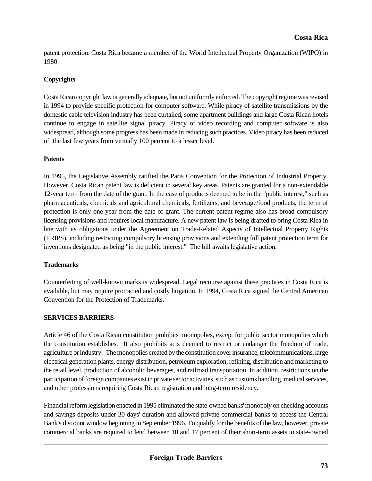patent protection. Costa Rica became a member of the World Intellectual Property Organization (WIPO) in 1980.

#### **Copyrights**

Costa Rican copyright law is generally adequate, but not uniformly enforced. The copyright regime was revised in 1994 to provide specific protection for computer software. While piracy of satellite transmissions by the domestic cable television industry has been curtailed, some apartment buildings and large Costa Rican hotels continue to engage in satellite signal piracy. Piracy of video recording and computer software is also widespread, although some progress has been made in reducing such practices. Video piracy has been reduced of the last few years from virtually 100 percent to a lesser level.

#### **Patents**

In 1995, the Legislative Assembly ratified the Paris Convention for the Protection of Industrial Property. However, Costa Rican patent law is deficient in several key areas. Patents are granted for a non-extendable 12-year term from the date of the grant. In the case of products deemed to be in the "public interest," such as pharmaceuticals, chemicals and agricultural chemicals, fertilizers, and beverage/food products, the term of protection is only one year from the date of grant. The current patent regime also has broad compulsory licensing provisions and requires local manufacture. A new patent law is being drafted to bring Costa Rica in line with its obligations under the Agreement on Trade-Related Aspects of Intellectual Property Rights (TRIPS), including restricting compulsory licensing provisions and extending full patent protection term for inventions designated as being "in the public interest." The bill awaits legislative action.

#### **Trademarks**

Counterfeiting of well-known marks is widespread. Legal recourse against these practices in Costa Rica is available, but may require protracted and costly litigation. In 1994, Costa Rica signed the Central American Convention for the Protection of Trademarks.

#### **SERVICES BARRIERS**

Article 46 of the Costa Rican constitution prohibits monopolies, except for public sector monopolies which the constitution establishes. It also prohibits acts deemed to restrict or endanger the freedom of trade, agriculture or industry. The monopolies created by the constitution cover insurance, telecommunications, large electrical generation plants, energy distribution, petroleum exploration, refining, distribution and marketing to the retail level, production of alcoholic beverages, and railroad transportation. In addition, restrictions on the participation of foreign companies exist in private sector activities, such as customs handling, medical services, and other professions requiring Costa Rican registration and long-term residency.

Financial reform legislation enacted in 1995 eliminated the state-owned banks' monopoly on checking accounts and savings deposits under 30 days' duration and allowed private commercial banks to access the Central Bank's discount window beginning in September 1996. To qualify for the benefits of the law, however, private commercial banks are required to lend between 10 and 17 percent of their short-term assets to state-owned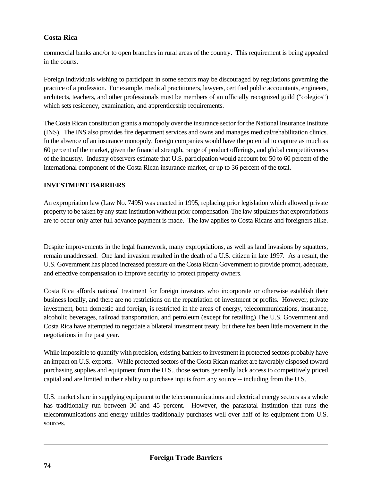## **Costa Rica**

commercial banks and/or to open branches in rural areas of the country. This requirement is being appealed in the courts.

Foreign individuals wishing to participate in some sectors may be discouraged by regulations governing the practice of a profession. For example, medical practitioners, lawyers, certified public accountants, engineers, architects, teachers, and other professionals must be members of an officially recognized guild ("colegios") which sets residency, examination, and apprenticeship requirements.

The Costa Rican constitution grants a monopoly over the insurance sector for the National Insurance Institute (INS). The INS also provides fire department services and owns and manages medical/rehabilitation clinics. In the absence of an insurance monopoly, foreign companies would have the potential to capture as much as 60 percent of the market, given the financial strength, range of product offerings, and global competitiveness of the industry. Industry observers estimate that U.S. participation would account for 50 to 60 percent of the international component of the Costa Rican insurance market, or up to 36 percent of the total.

## **INVESTMENT BARRIERS**

An expropriation law (Law No. 7495) was enacted in 1995, replacing prior legislation which allowed private property to be taken by any state institution without prior compensation. The law stipulates that expropriations are to occur only after full advance payment is made. The law applies to Costa Ricans and foreigners alike.

Despite improvements in the legal framework, many expropriations, as well as land invasions by squatters, remain unaddressed. One land invasion resulted in the death of a U.S. citizen in late 1997. As a result, the U.S. Government has placed increased pressure on the Costa Rican Government to provide prompt, adequate, and effective compensation to improve security to protect property owners.

Costa Rica affords national treatment for foreign investors who incorporate or otherwise establish their business locally, and there are no restrictions on the repatriation of investment or profits. However, private investment, both domestic and foreign, is restricted in the areas of energy, telecommunications, insurance, alcoholic beverages, railroad transportation, and petroleum (except for retailing) The U.S. Government and Costa Rica have attempted to negotiate a bilateral investment treaty, but there has been little movement in the negotiations in the past year.

While impossible to quantify with precision, existing barriers to investment in protected sectors probably have an impact on U.S. exports. While protected sectors of the Costa Rican market are favorably disposed toward purchasing supplies and equipment from the U.S., those sectors generally lack access to competitively priced capital and are limited in their ability to purchase inputs from any source -- including from the U.S.

U.S. market share in supplying equipment to the telecommunications and electrical energy sectors as a whole has traditionally run between 30 and 45 percent. However, the parastatal institution that runs the telecommunications and energy utilities traditionally purchases well over half of its equipment from U.S. sources.